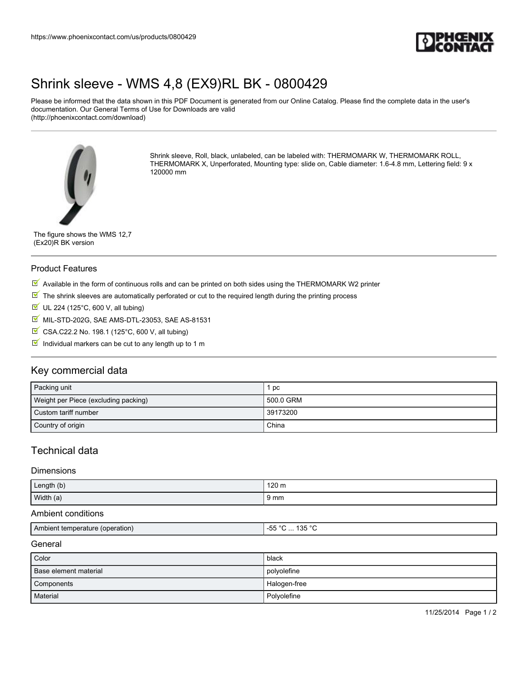

## [Shrink sleeve - WMS 4,8 \(EX9\)RL BK - 0800429](https://www.phoenixcontact.com/us/products/0800429)

Please be informed that the data shown in this PDF Document is generated from our Online Catalog. Please find the complete data in the user's documentation. Our General Terms of Use for Downloads are valid (http://phoenixcontact.com/download)



Shrink sleeve, Roll, black, unlabeled, can be labeled with: THERMOMARK W, THERMOMARK ROLL, THERMOMARK X, Unperforated, Mounting type: slide on, Cable diameter: 1.6-4.8 mm, Lettering field: 9 x 120000 mm

The figure shows the WMS 12,7 (Ex20)R BK version

### Product Features

- $\overline{\mathbb{M}}$  Available in the form of continuous rolls and can be printed on both sides using the THERMOMARK W2 printer
- $\mathbb N$  The shrink sleeves are automatically perforated or cut to the required length during the printing process
- $U$  UL 224 (125°C, 600 V, all tubing)
- **M** MIL-STD-202G, SAE AMS-DTL-23053, SAE AS-81531
- CSA.C22.2 No. 198.1 (125°C, 600 V, all tubing)
- $\blacksquare$  Individual markers can be cut to any length up to 1 m

## Key commercial data

| Packing unit                         | рc        |
|--------------------------------------|-----------|
| Weight per Piece (excluding packing) | 500.0 GRM |
| Custom tariff number                 | 39173200  |
| Country of origin                    | China     |

## Technical data

#### Dimensions

| Length (b) | ⊿ 120.<br>$\overline{a}$<br>140 H<br>$\sim$ |
|------------|---------------------------------------------|
| Width (a)  | $\frac{1}{2}$ mm                            |

### Ambient conditions

| Ami<br>operation!<br>nient<br>, alurr<br>ຼເຕ<br>- Ju<br>.<br>.<br>$\sim$ $\sim$<br>$\sim$ |
|-------------------------------------------------------------------------------------------|
|-------------------------------------------------------------------------------------------|

#### **General**

| Color                 | black        |
|-----------------------|--------------|
| Base element material | polyolefine  |
| Components            | Halogen-free |
| Material              | Polyolefine  |